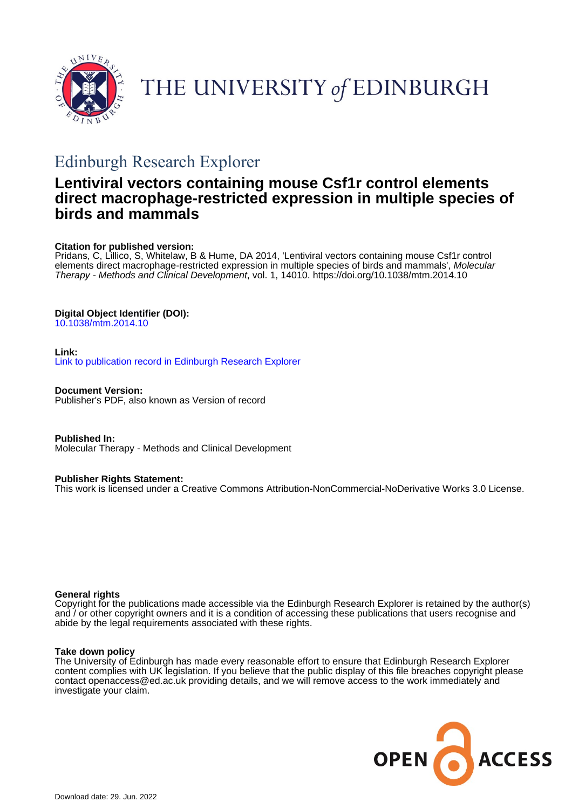

# THE UNIVERSITY of EDINBURGH

## Edinburgh Research Explorer

## **Lentiviral vectors containing mouse Csf1r control elements direct macrophage-restricted expression in multiple species of birds and mammals**

## **Citation for published version:**

Pridans, C, Lillico, S, Whitelaw, B & Hume, DA 2014, 'Lentiviral vectors containing mouse Csf1r control elements direct macrophage-restricted expression in multiple species of birds and mammals', Molecular Therapy - Methods and Clinical Development, vol. 1, 14010.<https://doi.org/10.1038/mtm.2014.10>

## **Digital Object Identifier (DOI):**

[10.1038/mtm.2014.10](https://doi.org/10.1038/mtm.2014.10)

## **Link:**

[Link to publication record in Edinburgh Research Explorer](https://www.research.ed.ac.uk/en/publications/0e5fefec-78f1-4bab-a867-c76af26be34a)

**Document Version:** Publisher's PDF, also known as Version of record

**Published In:** Molecular Therapy - Methods and Clinical Development

## **Publisher Rights Statement:**

This work is licensed under a Creative Commons Attribution-NonCommercial-NoDerivative Works 3.0 License.

## **General rights**

Copyright for the publications made accessible via the Edinburgh Research Explorer is retained by the author(s) and / or other copyright owners and it is a condition of accessing these publications that users recognise and abide by the legal requirements associated with these rights.

## **Take down policy**

The University of Edinburgh has made every reasonable effort to ensure that Edinburgh Research Explorer content complies with UK legislation. If you believe that the public display of this file breaches copyright please contact openaccess@ed.ac.uk providing details, and we will remove access to the work immediately and investigate your claim.

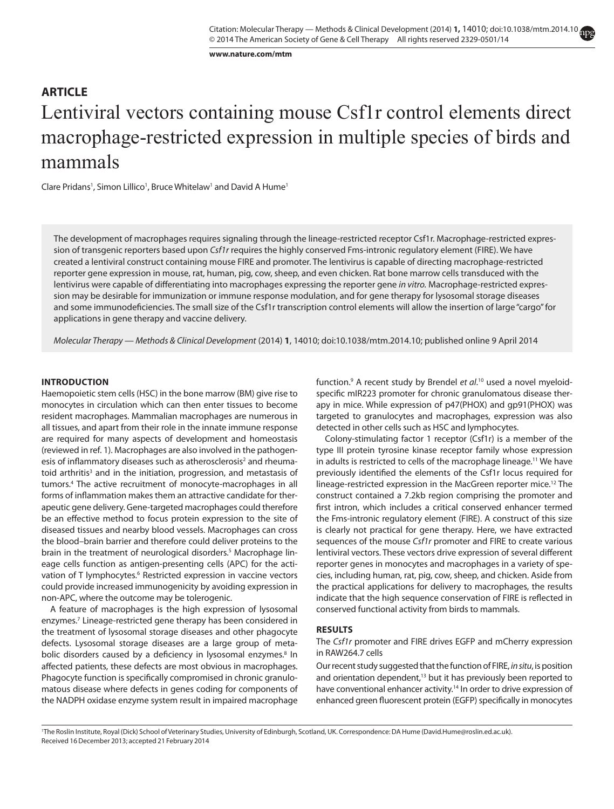**www.nature.com/mtm**

## Lentiviral vectors containing mouse Csf1r control elements direct macrophage-restricted expression in multiple species of birds and mammals **Article**

Clare Pridans<sup>1</sup>, Simon Lillico<sup>1</sup>, Bruce Whitelaw<sup>1</sup> and David A Hume<sup>1</sup>

The development of macrophages requires signaling through the lineage-restricted receptor Csf1r. Macrophage-restricted expression of transgenic reporters based upon *Csf1r* requires the highly conserved Fms-intronic regulatory element (FIRE). We have created a lentiviral construct containing mouse FIRE and promoter. The lentivirus is capable of directing macrophage-restricted reporter gene expression in mouse, rat, human, pig, cow, sheep, and even chicken. Rat bone marrow cells transduced with the lentivirus were capable of differentiating into macrophages expressing the reporter gene *in vitro.* Macrophage-restricted expression may be desirable for immunization or immune response modulation, and for gene therapy for lysosomal storage diseases and some immunodeficiencies. The small size of the Csf1r transcription control elements will allow the insertion of large "cargo" for applications in gene therapy and vaccine delivery.

*Molecular Therapy — Methods & Clinical Development* (2014) **1**, 14010; doi:[10.1038/mtm.2014.10;](http://dx.doi.org/10.1038/mtm.2014.10) published online 9 April 2014

#### **INTRODUCTION**

Haemopoietic stem cells (HSC) in the bone marrow (BM) give rise to monocytes in circulation which can then enter tissues to become resident macrophages. Mammalian macrophages are numerous in all tissues, and apart from their role in the innate immune response are required for many aspects of development and homeostasis (reviewed in ref. 1). Macrophages are also involved in the pathogenesis of inflammatory diseases such as atherosclerosis<sup>2</sup> and rheumatoid arthritis<sup>3</sup> and in the initiation, progression, and metastasis of tumors.4 The active recruitment of monocyte-macrophages in all forms of inflammation makes them an attractive candidate for therapeutic gene delivery. Gene-targeted macrophages could therefore be an effective method to focus protein expression to the site of diseased tissues and nearby blood vessels. Macrophages can cross the blood–brain barrier and therefore could deliver proteins to the brain in the treatment of neurological disorders.<sup>5</sup> Macrophage lineage cells function as antigen-presenting cells (APC) for the activation of T lymphocytes.<sup>6</sup> Restricted expression in vaccine vectors could provide increased immunogenicity by avoiding expression in non-APC, where the outcome may be tolerogenic.

A feature of macrophages is the high expression of lysosomal enzymes.7 Lineage-restricted gene therapy has been considered in the treatment of lysosomal storage diseases and other phagocyte defects. Lysosomal storage diseases are a large group of metabolic disorders caused by a deficiency in lysosomal enzymes.<sup>8</sup> In affected patients, these defects are most obvious in macrophages. Phagocyte function is specifically compromised in chronic granulomatous disease where defects in genes coding for components of the NADPH oxidase enzyme system result in impaired macrophage

function.9 A recent study by Brendel *et al*. 10 used a novel myeloidspecific mIR223 promoter for chronic granulomatous disease therapy in mice. While expression of p47(PHOX) and gp91(PHOX) was targeted to granulocytes and macrophages, expression was also detected in other cells such as HSC and lymphocytes.

Colony-stimulating factor 1 receptor (Csf1r) is a member of the type III protein tyrosine kinase receptor family whose expression in adults is restricted to cells of the macrophage lineage.<sup>11</sup> We have previously identified the elements of the Csf1r locus required for lineage-restricted expression in the MacGreen reporter mice.12 The construct contained a 7.2kb region comprising the promoter and first intron, which includes a critical conserved enhancer termed the Fms-intronic regulatory element (FIRE). A construct of this size is clearly not practical for gene therapy. Here, we have extracted sequences of the mouse *Csf1r* promoter and FIRE to create various lentiviral vectors. These vectors drive expression of several different reporter genes in monocytes and macrophages in a variety of species, including human, rat, pig, cow, sheep, and chicken. Aside from the practical applications for delivery to macrophages, the results indicate that the high sequence conservation of FIRE is reflected in conserved functional activity from birds to mammals.

#### **RESULTS**

#### The *Csf1r* promoter and FIRE drives EGFP and mCherry expression in RAW264.7 cells

Our recent study suggested that the function of FIRE, *in situ*, is position and orientation dependent,<sup>13</sup> but it has previously been reported to have conventional enhancer activity.<sup>14</sup> In order to drive expression of enhanced green fluorescent protein (EGFP) specifically in monocytes

Received 16 December 2013; accepted 21 February 2014 1 The Roslin Institute, Royal (Dick) School of Veterinary Studies, University of Edinburgh, Scotland, UK. Correspondence: DA Hume ([David.Hume@roslin.ed.ac.uk](mailto:David.Hume@roslin.ed.ac.uk)).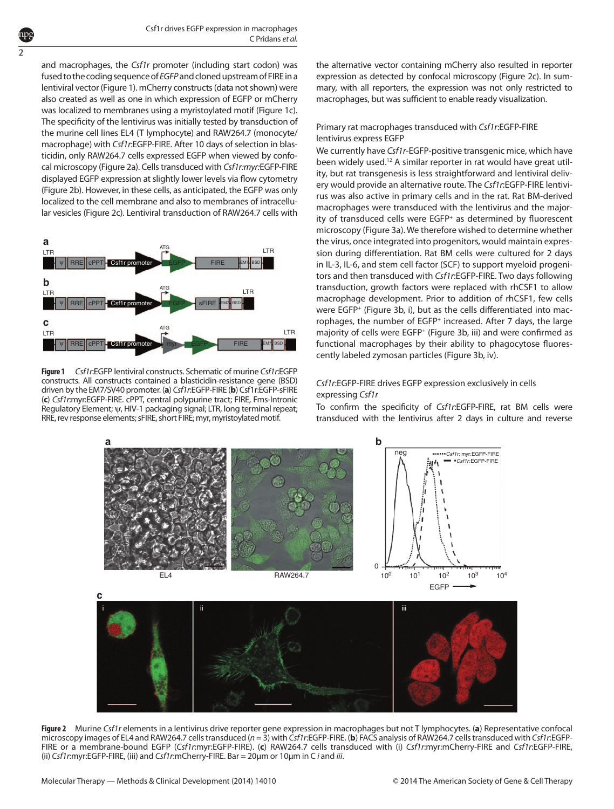and macrophages, the *Csf1r* promoter (including start codon) was fused to the coding sequence of *EGFP* and cloned upstream of FIRE in a lentiviral vector ([Figure 1\)](#page-2-0). mCherry constructs (data not shown) were also created as well as one in which expression of EGFP or mCherry was localized to membranes using a myristoylated motif [\(Figure 1c\)](#page-2-0). The specificity of the lentivirus was initially tested by transduction of the murine cell lines EL4 (T lymphocyte) and RAW264.7 (monocyte/ macrophage) with *Csf1r*:EGFP-FIRE. After 10 days of selection in blasticidin, only RAW264.7 cells expressed EGFP when viewed by confocal microscopy [\(Figure 2a](#page-2-1)). Cells transduced with *Csf1r:myr:*EGFP-FIRE displayed EGFP expression at slightly lower levels via flow cytometry [\(Figure 2b\)](#page-2-1). However, in these cells, as anticipated, the EGFP was only localized to the cell membrane and also to membranes of intracellular vesicles [\(Figure 2c](#page-2-1)). Lentiviral transduction of RAW264.7 cells with

2

<span id="page-2-0"></span>

**Figure 1** *Csf1r*:EGFP lentiviral constructs. Schematic of murine *Csf1r*:EGFP constructs. All constructs contained a blasticidin-resistance gene (BSD) driven by the EM7/SV40 promoter. (**a**) *Csf1r*:EGFP-FIRE (**b**) Csf1r:EGFP-sFIRE (**c**) *Csf1r*:myr:EGFP-FIRE. cPPT, central polypurine tract; FIRE, Fms-Intronic Regulatory Element; ψ, HIV-1 packaging signal; LTR, long terminal repeat; RRE, rev response elements; sFIRE, short FIRE; myr, myristoylated motif.

the alternative vector containing mCherry also resulted in reporter expression as detected by confocal microscopy [\(Figure 2c](#page-2-1)). In summary, with all reporters, the expression was not only restricted to macrophages, but was sufficient to enable ready visualization.

### Primary rat macrophages transduced with *Csf1r*:EGFP-FIRE lentivirus express EGFP

We currently have *Csf1r*-EGFP-positive transgenic mice, which have been widely used.<sup>12</sup> A similar reporter in rat would have great utility, but rat transgenesis is less straightforward and lentiviral delivery would provide an alternative route. The *Csf1r*:EGFP-FIRE lentivirus was also active in primary cells and in the rat. Rat BM-derived macrophages were transduced with the lentivirus and the majority of transduced cells were EGFP<sup>+</sup> as determined by fluorescent microscopy [\(Figure 3a\)](#page-3-0). We therefore wished to determine whether the virus, once integrated into progenitors, would maintain expression during differentiation. Rat BM cells were cultured for 2 days in IL-3, IL-6, and stem cell factor (SCF) to support myeloid progenitors and then transduced with *Csf1r*:EGFP-FIRE. Two days following transduction, growth factors were replaced with rhCSF1 to allow macrophage development. Prior to addition of rhCSF1, few cells were EGFP+ ([Figure 3b](#page-3-0), [i\)](#page-3-0), but as the cells differentiated into macrophages, the number of EGFP+ increased. After 7 days, the large majority of cells were EGFP+ ([Figure 3b,](#page-3-0) iii) and were confirmed as functional macrophages by their ability to phagocytose fluorescently labeled zymosan particles [\(Figure 3b](#page-3-0), iv).

#### *Csf1r*:EGFP-FIRE drives EGFP expression exclusively in cells expressing *Csf1r*

To confirm the specificity of *Csf1r*:EGFP-FIRE, rat BM cells were transduced with the lentivirus after 2 days in culture and reverse

<span id="page-2-1"></span>

**Figure 2** Murine *Csf1r* elements in a lentivirus drive reporter gene expression in macrophages but not T lymphocytes. (**a**) Representative confocal microscopy images of EL4 and RAW264.7 cells transduced (*n* = 3) with *Csf1r*:EGFP-FIRE. (**b**) FACS analysis of RAW264.7 cells transduced with *Csf1r*:EGFP-FIRE or a membrane-bound EGFP (*Csf1r*:myr:EGFP-FIRE). (**c**) RAW264.7 cells transduced with (i) *Csf1r*:myr:mCherry-FIRE and *Csf1r*:EGFP-FIRE, (ii) *Csf1r*:myr:EGFP-FIRE, (iii) and *Csf1r*:mCherry-FIRE. Bar = 20µm or 10µm in C *i* and *iii*.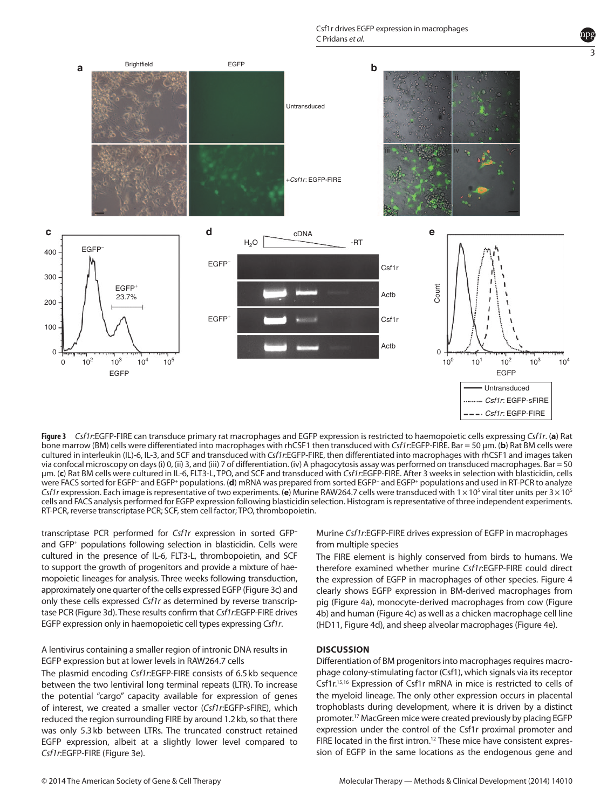Csf1r drives EGFP expression in macrophages C Pridans *et al.*

3

<span id="page-3-0"></span>

**Figure 3** *Csf1r*:EGFP-FIRE can transduce primary rat macrophages and EGFP expression is restricted to haemopoietic cells expressing *Csf1r*. (**a**) Rat bone marrow (BM) cells were differentiated into macrophages with rhCSF1 then transduced with *Csf1r*:EGFP-FIRE. Bar = 50 µm. (**b**) Rat BM cells were cultured in interleukin (IL)-6, IL-3, and SCF and transduced with *Csf1r*:EGFP-FIRE, then differentiated into macrophages with rhCSF1 and images taken via confocal microscopy on days (i) 0, (ii) 3, and (iii) 7 of differentiation. (iv) A phagocytosis assay was performed on transduced macrophages. Bar = 50 µm. (**c**) Rat BM cells were cultured in IL-6, FLT3-L, TPO, and SCF and transduced with *Csf1r*:EGFP-FIRE. After 3 weeks in selection with blasticidin, cells were FACS sorted for EGFP− and EGFP+ populations. (**d**) mRNA was prepared from sorted EGFP− and EGFP+ populations and used in RT-PCR to analyze Csf1r expression. Each image is representative of two experiments. (e) Murine RAW264.7 cells were transduced with 1×10<sup>5</sup> viral titer units per 3×10<sup>5</sup> cells and FACS analysis performed for EGFP expression following blasticidin selection. Histogram is representative of three independent experiments. RT-PCR, reverse transcriptase PCR; SCF, stem cell factor; TPO, thrombopoietin.

transcriptase PCR performed for *Csf1r* expression in sorted GFP− and GFP+ populations following selection in blasticidin. Cells were cultured in the presence of IL-6, FLT3-L, thrombopoietin, and SCF to support the growth of progenitors and provide a mixture of haemopoietic lineages for analysis. Three weeks following transduction, approximately one quarter of the cells expressed EGFP [\(Figure 3c\)](#page-3-0) and only these cells expressed *Csf1r* as determined by reverse transcriptase PCR [\(Figure 3d\)](#page-3-0). These results confirm that *Csf1r*:EGFP-FIRE drives EGFP expression only in haemopoietic cell types expressing *Csf1r*.

#### A lentivirus containing a smaller region of intronic DNA results in EGFP expression but at lower levels in RAW264.7 cells

The plasmid encoding *Csf1r*:EGFP-FIRE consists of 6.5kb sequence between the two lentiviral long terminal repeats (LTR). To increase the potential "cargo" capacity available for expression of genes of interest, we created a smaller vector (*Csf1r*:EGFP-sFIRE), which reduced the region surrounding FIRE by around 1.2kb, so that there was only 5.3kb between LTRs. The truncated construct retained EGFP expression, albeit at a slightly lower level compared to *Csf1r*:EGFP-FIRE ([Figure 3e\)](#page-3-0).

Murine *Csf1r*:EGFP-FIRE drives expression of EGFP in macrophages from multiple species

The FIRE element is highly conserved from birds to humans. We therefore examined whether murine *Csf1r*:EGFP-FIRE could direct the expression of EGFP in macrophages of other species. [Figure 4](#page-4-0) clearly shows EGFP expression in BM-derived macrophages from pig [\(Figure 4a\)](#page-4-0), monocyte-derived macrophages from cow ([Figure](#page-4-0)  [4b\)](#page-4-0) and human ([Figure 4c](#page-4-0)) as well as a chicken macrophage cell line (HD11, [Figure 4d\)](#page-4-0), and sheep alveolar macrophages ([Figure 4e\)](#page-4-0).

#### **DISCUSSION**

Differentiation of BM progenitors into macrophages requires macrophage colony-stimulating factor (Csf1), which signals via its receptor Csf1r.15,16 Expression of Csf1r mRNA in mice is restricted to cells of the myeloid lineage. The only other expression occurs in placental trophoblasts during development, where it is driven by a distinct promoter.17 MacGreen mice were created previously by placing EGFP expression under the control of the Csf1r proximal promoter and FIRE located in the first intron.<sup>12</sup> These mice have consistent expression of EGFP in the same locations as the endogenous gene and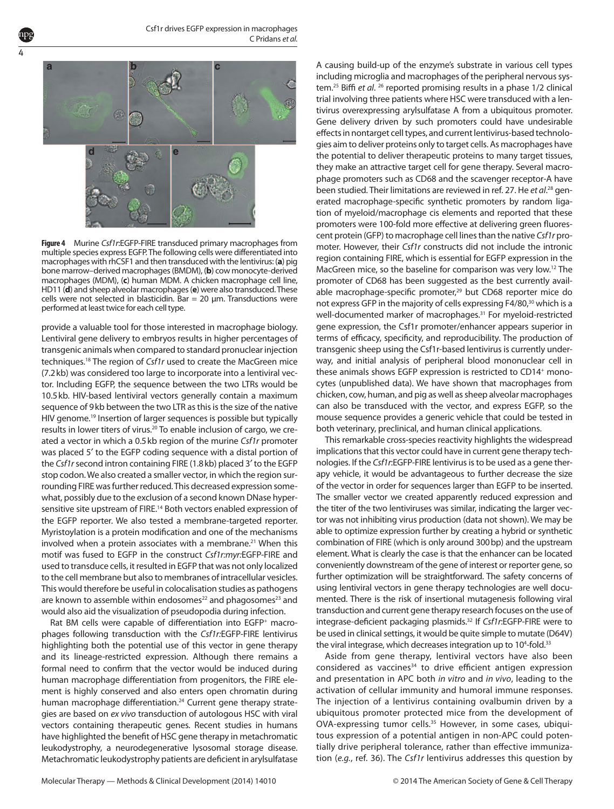<span id="page-4-0"></span>

4

**Figure 4** Murine *Csf1r*:EGFP-FIRE transduced primary macrophages from multiple species express EGFP. The following cells were differentiated into macrophages with rhCSF1 and then transduced with the lentivirus: (**a**) pig bone marrow–derived macrophages (BMDM), (**b**) cow monocyte-derived macrophages (MDM), (**c**) human MDM. A chicken macrophage cell line, HD11 (**d**) and sheep alveolar macrophages (**e**) were also transduced. These cells were not selected in blasticidin. Bar = 20  $\mu$ m. Transductions were performed at least twice for each cell type.

provide a valuable tool for those interested in macrophage biology. Lentiviral gene delivery to embryos results in higher percentages of transgenic animals when compared to standard pronuclear injection techniques.18 The region of *Csf1r* used to create the MacGreen mice (7.2kb) was considered too large to incorporate into a lentiviral vector. Including EGFP, the sequence between the two LTRs would be 10.5kb. HIV-based lentiviral vectors generally contain a maximum sequence of 9kb between the two LTR as this is the size of the native HIV genome.<sup>19</sup> Insertion of larger sequences is possible but typically results in lower titers of virus.<sup>20</sup> To enable inclusion of cargo, we created a vector in which a 0.5kb region of the murine *Csf1r* promoter was placed 5′ to the EGFP coding sequence with a distal portion of the *Csf1r* second intron containing FIRE (1.8kb) placed 3′ to the EGFP stop codon. We also created a smaller vector, in which the region surrounding FIRE was further reduced. This decreased expression somewhat, possibly due to the exclusion of a second known DNase hypersensitive site upstream of FIRE.<sup>14</sup> Both vectors enabled expression of the EGFP reporter. We also tested a membrane-targeted reporter. Myristoylation is a protein modification and one of the mechanisms involved when a protein associates with a membrane.<sup>21</sup> When this motif was fused to EGFP in the construct *Csf1r:myr:*EGFP-FIRE and used to transduce cells, it resulted in EGFP that was not only localized to the cell membrane but also to membranes of intracellular vesicles. This would therefore be useful in colocalisation studies as pathogens are known to assemble within endosomes<sup>22</sup> and phagosomes<sup>23</sup> and would also aid the visualization of pseudopodia during infection.

Rat BM cells were capable of differentiation into EGFP<sup>+</sup> macrophages following transduction with the *Csf1r:*EGFP-FIRE lentivirus highlighting both the potential use of this vector in gene therapy and its lineage-restricted expression. Although there remains a formal need to confirm that the vector would be induced during human macrophage differentiation from progenitors, the FIRE element is highly conserved and also enters open chromatin during human macrophage differentiation.<sup>24</sup> Current gene therapy strategies are based on *ex vivo* transduction of autologous HSC with viral vectors containing therapeutic genes. Recent studies in humans have highlighted the benefit of HSC gene therapy in metachromatic leukodystrophy, a neurodegenerative lysosomal storage disease. Metachromatic leukodystrophy patients are deficient in arylsulfatase

A causing build-up of the enzyme's substrate in various cell types including microglia and macrophages of the peripheral nervous system.25 Biffi *et al*. 26 reported promising results in a phase 1/2 clinical trial involving three patients where HSC were transduced with a lentivirus overexpressing arylsulfatase A from a ubiquitous promoter. Gene delivery driven by such promoters could have undesirable effects in nontarget cell types, and current lentivirus-based technologies aim to deliver proteins only to target cells. As macrophages have the potential to deliver therapeutic proteins to many target tissues, they make an attractive target cell for gene therapy. Several macrophage promoters such as CD68 and the scavenger receptor-A have been studied. Their limitations are reviewed in ref. 27. He et al.<sup>28</sup> generated macrophage-specific synthetic promoters by random ligation of myeloid/macrophage cis elements and reported that these promoters were 100-fold more effective at delivering green fluorescent protein (GFP) to macrophage cell lines than the native *Csf1r* promoter. However, their *Csf1r* constructs did not include the intronic region containing FIRE, which is essential for EGFP expression in the MacGreen mice, so the baseline for comparison was very low.12 The promoter of CD68 has been suggested as the best currently available macrophage-specific promoter,<sup>29</sup> but CD68 reporter mice do not express GFP in the majority of cells expressing F4/80,<sup>30</sup> which is a well-documented marker of macrophages.31 For myeloid-restricted gene expression, the Csf1r promoter/enhancer appears superior in terms of efficacy, specificity, and reproducibility. The production of transgenic sheep using the Csf1r-based lentivirus is currently underway, and initial analysis of peripheral blood mononuclear cell in these animals shows EGFP expression is restricted to CD14+ monocytes (unpublished data). We have shown that macrophages from chicken, cow, human, and pig as well as sheep alveolar macrophages can also be transduced with the vector, and express EGFP, so the mouse sequence provides a generic vehicle that could be tested in both veterinary, preclinical, and human clinical applications.

This remarkable cross-species reactivity highlights the widespread implications that this vector could have in current gene therapy technologies. If the *Csf1r*:EGFP-FIRE lentivirus is to be used as a gene therapy vehicle, it would be advantageous to further decrease the size of the vector in order for sequences larger than EGFP to be inserted. The smaller vector we created apparently reduced expression and the titer of the two lentiviruses was similar, indicating the larger vector was not inhibiting virus production (data not shown). We may be able to optimize expression further by creating a hybrid or synthetic combination of FIRE (which is only around 300bp) and the upstream element. What is clearly the case is that the enhancer can be located conveniently downstream of the gene of interest or reporter gene, so further optimization will be straightforward. The safety concerns of using lentiviral vectors in gene therapy technologies are well documented. There is the risk of insertional mutagenesis following viral transduction and current gene therapy research focuses on the use of integrase-deficient packaging plasmids.32 If *Csf1r*:EGFP-FIRE were to be used in clinical settings, it would be quite simple to mutate (D64V) the viral integrase, which decreases integration up to 10<sup>4</sup>-fold.<sup>33</sup>

Aside from gene therapy, lentiviral vectors have also been considered as vaccines<sup>34</sup> to drive efficient antigen expression and presentation in APC both *in vitro* and *in vivo*, leading to the activation of cellular immunity and humoral immune responses. The injection of a lentivirus containing ovalbumin driven by a ubiquitous promoter protected mice from the development of OVA-expressing tumor cells.<sup>35</sup> However, in some cases, ubiquitous expression of a potential antigen in non-APC could potentially drive peripheral tolerance, rather than effective immunization (*e.g.*, ref. 36). The *Csf1r* lentivirus addresses this question by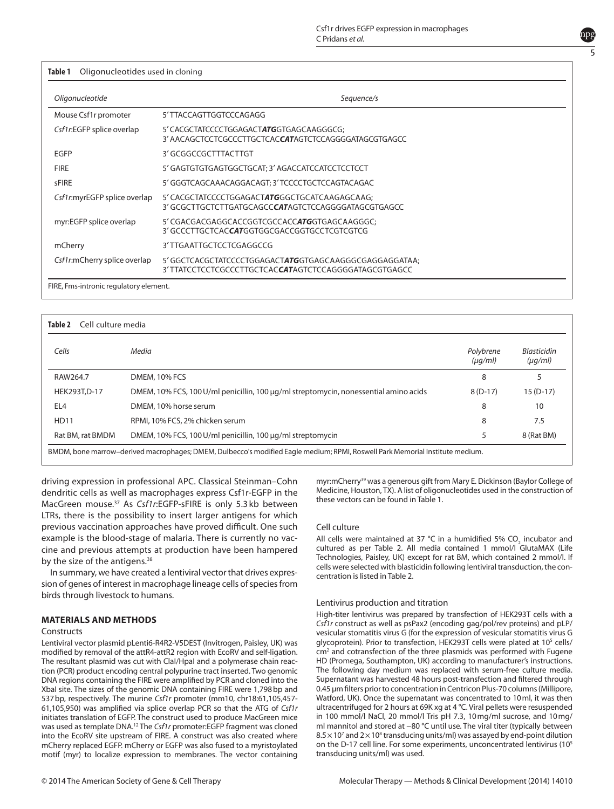<span id="page-5-0"></span>

| Oligonucleotide              | Sequence/s                                                                                                              |  |
|------------------------------|-------------------------------------------------------------------------------------------------------------------------|--|
| Mouse Csf1r promoter         | 5'TTACCAGTTGGTCCCAGAGG                                                                                                  |  |
| Csf1r:EGFP splice overlap    | 5' CACGCTATCCCCTGGAGACTATGGTGAGCAAGGGCG;<br>3' AACAGCTCCTCGCCCTTGCTCACCATAGTCTCCAGGGGATAGCGTGAGCC                       |  |
| <b>EGFP</b>                  | 3' GCGGCCGCTTTACTTGT                                                                                                    |  |
| <b>FIRE</b>                  | 5' GAGTGTGTGAGTGGCTGCAT; 3' AGACCATCCATCCTCCTCCT                                                                        |  |
| <b>sFIRE</b>                 | 5' GGGTCAGCAAACAGGACAGT; 3' TCCCCTGCTCCAGTACAGAC                                                                        |  |
| Csf1r:myrEGFP splice overlap | 5' CACGCTATCCCCTGGAGACTATGGGCTGCATCAAGAGCAAG;<br>3' GCGCTTGCTCTTGATGCAGCC <b>CAT</b> AGTCTCCAGGGGATAGCGTGAGCC           |  |
| myr:EGFP splice overlap      | 5' CGACGACGAGGCACCGGTCGCCACCATGGTGAGCAAGGGC;<br>3' GCCCTTGCTCAC <b>CAT</b> GGTGGCGACCGGTGCCTCGTCGTCG                    |  |
| mCherry                      | 3'TTGAATTGCTCCTCGAGGCCG                                                                                                 |  |
| Csf1r:mCherry splice overlap | 5' GGCTCACGCTATCCCCTGGAGACTATGGTGAGCAAGGGCGAGGAGGATAA;<br>3'TTATCCTCCTCGCCCTTGCTCAC <b>CAT</b> AGTCTCCAGGGGATAGCGTGAGCC |  |

FIRE, Fms-intronic regulatory element.

<span id="page-5-1"></span>

| Cell culture media<br>Table 2 |                                                                                      |                           |                                    |  |
|-------------------------------|--------------------------------------------------------------------------------------|---------------------------|------------------------------------|--|
| Cells                         | Media                                                                                | Polybrene<br>$(\mu q/ml)$ | <b>Blasticidin</b><br>$(\mu g/ml)$ |  |
| RAW264.7                      | <b>DMEM, 10% FCS</b>                                                                 | 8                         | 5                                  |  |
| HEK293T,D-17                  | DMEM, 10% FCS, 100 U/ml penicillin, 100 µg/ml streptomycin, nonessential amino acids | $8(D-17)$                 | $15(D-17)$                         |  |
| EL <sub>4</sub>               | DMEM, 10% horse serum                                                                | 8                         | 10                                 |  |
| <b>HD11</b>                   | RPMI, 10% FCS, 2% chicken serum                                                      | 8                         | 7.5                                |  |
| Rat BM, rat BMDM              | DMEM, 10% FCS, 100 U/ml penicillin, 100 µg/ml streptomycin                           | 5                         | 8 (Rat BM)                         |  |

driving expression in professional APC. Classical Steinman–Cohn dendritic cells as well as macrophages express Csf1r-EGFP in the MacGreen mouse.37 As *Csf1r*:EGFP-sFIRE is only 5.3 kb between LTRs, there is the possibility to insert larger antigens for which previous vaccination approaches have proved difficult. One such example is the blood-stage of malaria. There is currently no vaccine and previous attempts at production have been hampered by the size of the antigens.<sup>38</sup>

In summary, we have created a lentiviral vector that drives expression of genes of interest in macrophage lineage cells of species from birds through livestock to humans.

#### **MATERIALS AND METHODS**

#### **Constructs**

Lentiviral vector plasmid pLenti6-R4R2-V5DEST (Invitrogen, Paisley, UK) was modified by removal of the attR4-attR2 region with EcoRV and self-ligation. The resultant plasmid was cut with ClaI/HpaI and a polymerase chain reaction (PCR) product encoding central polypurine tract inserted. Two genomic DNA regions containing the FIRE were amplified by PCR and cloned into the XbaI site. The sizes of the genomic DNA containing FIRE were 1,798bp and 537bp, respectively. The murine *Csf1r* promoter (mm10, chr18:61,105,457- 61,105,950) was amplified via splice overlap PCR so that the ATG of *Csf1r* initiates translation of EGFP. The construct used to produce MacGreen mice was used as template DNA.12 The *Csf1r* promoter:EGFP fragment was cloned into the EcoRV site upstream of FIRE. A construct was also created where mCherry replaced EGFP. mCherry or EGFP was also fused to a myristoylated motif (myr) to localize expression to membranes. The vector containing

myr:mCherry<sup>39</sup> was a generous gift from Mary E. Dickinson (Baylor College of Medicine, Houston, TX). A list of oligonucleotides used in the construction of these vectors can be found in [Table 1](#page-5-0).

#### Cell culture

All cells were maintained at 37 °C in a humidified 5% CO<sub>2</sub> incubator and cultured as per [Table 2](#page-5-1). All media contained 1 mmol/l GlutaMAX (Life Technologies, Paisley, UK) except for rat BM, which contained 2 mmol/l. If cells were selected with blasticidin following lentiviral transduction, the concentration is listed in [Table 2.](#page-5-1)

#### Lentivirus production and titration

High-titer lentivirus was prepared by transfection of HEK293T cells with a *Csf1r* construct as well as psPax2 (encoding gag/pol/rev proteins) and pLP/ vesicular stomatitis virus G (for the expression of vesicular stomatitis virus G glycoprotein). Prior to transfection, HEK293T cells were plated at 10<sup>5</sup> cells/  $cm<sup>2</sup>$  and cotransfection of the three plasmids was performed with Fugene HD (Promega, Southampton, UK) according to manufacturer's instructions. The following day medium was replaced with serum-free culture media. Supernatant was harvested 48 hours post-transfection and filtered through 0.45 µm filters prior to concentration in Centricon Plus-70 columns (Millipore, Watford, UK). Once the supernatant was concentrated to 10ml, it was then ultracentrifuged for 2 hours at 69K xg at 4 °C. Viral pellets were resuspended in 100 mmol/l NaCl, 20 mmol/l Tris pH 7.3, 10mg/ml sucrose, and 10mg/ ml mannitol and stored at −80 °C until use. The viral titer (typically between  $8.5 \times 10^7$  and  $2 \times 10^8$  transducing units/ml) was assayed by end-point dilution on the D-17 cell line. For some experiments, unconcentrated lentivirus (105 transducing units/ml) was used.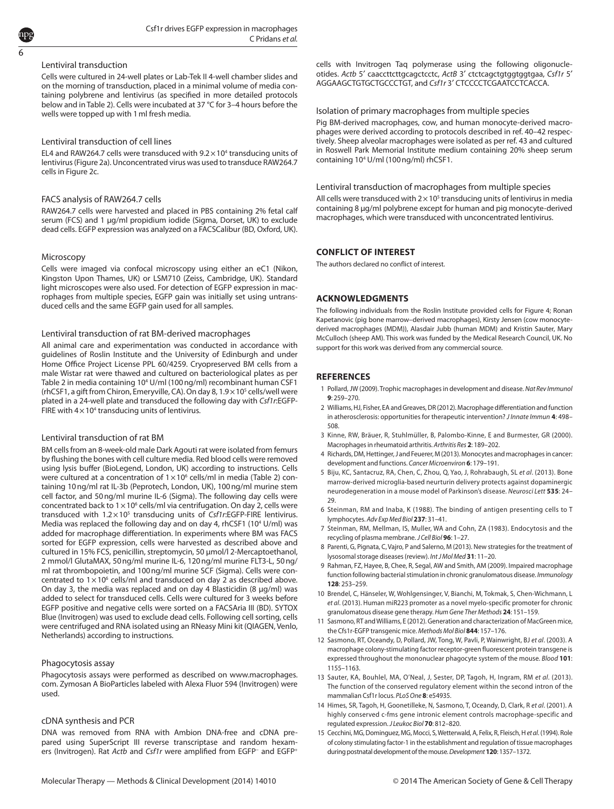#### Lentiviral transduction

Cells were cultured in 24-well plates or Lab-Tek II 4-well chamber slides and on the morning of transduction, placed in a minimal volume of media containing polybrene and lentivirus (as specified in more detailed protocols below and in [Table 2](#page-5-1)). Cells were incubated at 37 °C for 3–4 hours before the wells were topped up with 1ml fresh media.

#### Lentiviral transduction of cell lines

EL4 and RAW264.7 cells were transduced with  $9.2 \times 10^4$  transducing units of lentivirus [\(Figure 2a\)](#page-2-1). Unconcentrated virus was used to transduce RAW264.7 cells in [Figure 2c.](#page-2-1)

#### FACS analysis of RAW264.7 cells

RAW264.7 cells were harvested and placed in PBS containing 2% fetal calf serum (FCS) and 1 µg/ml propidium iodide (Sigma, Dorset, UK) to exclude dead cells. EGFP expression was analyzed on a FACSCalibur (BD, Oxford, UK).

#### Microscopy

Cells were imaged via confocal microscopy using either an eC1 (Nikon, Kingston Upon Thames, UK) or LSM710 (Zeiss, Cambridge, UK). Standard light microscopes were also used. For detection of EGFP expression in macrophages from multiple species, EGFP gain was initially set using untransduced cells and the same EGFP gain used for all samples.

#### Lentiviral transduction of rat BM-derived macrophages

All animal care and experimentation was conducted in accordance with guidelines of Roslin Institute and the University of Edinburgh and under Home Office Project License PPL 60/4259. Cryopreserved BM cells from a male Wistar rat were thawed and cultured on bacteriological plates as per [Table 2](#page-5-1) in media containing 10<sup>4</sup> U/ml (100 ng/ml) recombinant human CSF1 (rhCSF1, a gift from Chiron, Emeryville, CA). On day 8, 1.9 x 10<sup>5</sup> cells/well were plated in a 24-well plate and transduced the following day with *Csf1r*:EGFP-FIRE with  $4 \times 10^4$  transducing units of lentivirus.

#### Lentiviral transduction of rat BM

BM cells from an 8-week-old male Dark Agouti rat were isolated from femurs by flushing the bones with cell culture media. Red blood cells were removed using lysis buffer (BioLegend, London, UK) according to instructions. Cells were cultured at a concentration of  $1 \times 10^6$  cells/ml in media ([Table 2\)](#page-5-1) containing 10ng/ml rat IL-3b (Peprotech, London, UK), 100ng/ml murine stem cell factor, and 50ng/ml murine IL-6 (Sigma). The following day cells were concentrated back to  $1 \times 10^6$  cells/ml via centrifugation. On day 2, cells were transduced with 1.2×10<sup>5</sup> transducing units of *Csf1r*:EGFP-FIRE lentivirus. Media was replaced the following day and on day 4, rhCSF1 (10<sup>4</sup> U/ml) was added for macrophage differentiation. In experiments where BM was FACS sorted for EGFP expression, cells were harvested as described above and cultured in 15% FCS, penicillin, streptomycin, 50 µmol/l 2-Mercaptoethanol, 2 mmol/l GlutaMAX, 50ng/ml murine IL-6, 120ng/ml murine FLT3-L, 50ng/ ml rat thrombopoietin, and 100ng/ml murine SCF (Sigma). Cells were concentrated to  $1 \times 10^6$  cells/ml and transduced on day 2 as described above. On day 3, the media was replaced and on day 4 Blasticidin (8 µg/ml) was added to select for transduced cells. Cells were cultured for 3 weeks before EGFP positive and negative cells were sorted on a FACSAria III (BD). SYTOX Blue (Invitrogen) was used to exclude dead cells. Following cell sorting, cells were centrifuged and RNA isolated using an RNeasy Mini kit (QIAGEN, Venlo, Netherlands) according to instructions.

#### Phagocytosis assay

Phagocytosis assays were performed as described on [www.macrophages.](www.macrophages.com) [com.](www.macrophages.com) Zymosan A BioParticles labeled with Alexa Fluor 594 (Invitrogen) were used.

#### cDNA synthesis and PCR

DNA was removed from RNA with Ambion DNA-free and cDNA prepared using SuperScript III reverse transcriptase and random hexamers (Invitrogen). Rat *Actb* and *Csf1r* were amplified from EGFP− and EGFP+ cells with Invitrogen Taq polymerase using the following oligonucleotides. *Actb* 5′ caaccttcttgcagctcctc, *ActB* 3′ ctctcagctgtggtggtgaa, *Csf1r* 5′ AGGAAGCTGTGCTGCCCTGT, and *Csf1r* 3′ CTCCCCTCGAATCCTCACCA.

#### Isolation of primary macrophages from multiple species

Pig BM-derived macrophages, cow, and human monocyte-derived macrophages were derived according to protocols described in ref. 40–42 respectively. Sheep alveolar macrophages were isolated as per ref. 43 and cultured in Roswell Park Memorial Institute medium containing 20% sheep serum containing 104 U/ml (100ng/ml) rhCSF1.

Lentiviral transduction of macrophages from multiple species All cells were transduced with  $2 \times 10^5$  transducing units of lentivirus in media containing 8 µg/ml polybrene except for human and pig monocyte-derived macrophages, which were transduced with unconcentrated lentivirus.

#### **CONFLICT OF INTEREST**

The authors declared no conflict of interest.

#### **ACKNOWLEDGMENTS**

The following individuals from the Roslin Institute provided cells for Figure 4; Ronan Kapetanovic (pig bone marrow–derived macrophages), Kirsty Jensen (cow monocytederived macrophages (MDM)), Alasdair Jubb (human MDM) and Kristin Sauter, Mary McCulloch (sheep AM). This work was funded by the Medical Research Council, UK. No support for this work was derived from any commercial source.

#### **References**

- 1 Pollard, JW (2009). Trophic macrophages in development and disease. *Nat Rev Immunol* **9**: 259–270.
- 2 Williams, HJ, Fisher, EA and Greaves, DR (2012). Macrophage differentiation and function in atherosclerosis: opportunities for therapeutic intervention? *J Innate Immun* **4**: 498– 508.
- 3 Kinne, RW, Bräuer, R, Stuhlmüller, B, Palombo-Kinne, E and Burmester, GR (2000). Macrophages in rheumatoid arthritis. *Arthritis Res* **2**: 189–202.
- 4 Richards, DM, Hettinger, J and Feuerer, M (2013). Monocytes and macrophages in cancer: development and functions. *Cancer Microenviron* **6**: 179–191.
- 5 Biju, KC, Santacruz, RA, Chen, C, Zhou, Q, Yao, J, Rohrabaugh, SL *et al*. (2013). Bone marrow-derived microglia-based neurturin delivery protects against dopaminergic neurodegeneration in a mouse model of Parkinson's disease. *Neurosci Lett* **535**: 24– 29.
- 6 Steinman, RM and Inaba, K (1988). The binding of antigen presenting cells to T lymphocytes. *Adv Exp Med Biol* **237**: 31–41.
- 7 Steinman, RM, Mellman, IS, Muller, WA and Cohn, ZA (1983). Endocytosis and the recycling of plasma membrane. *J Cell Biol* **96**: 1–27.
- 8 Parenti, G, Pignata, C, Vajro, P and Salerno, M (2013). New strategies for the treatment of lysosomal storage diseases (review). *Int J Mol Med* **31**: 11–20.
- 9 Rahman, FZ, Hayee, B, Chee, R, Segal, AW and Smith, AM (2009). Impaired macrophage function following bacterial stimulation in chronic granulomatous disease. *Immunology* **128**: 253–259.
- 10 Brendel, C, Hänseler, W, Wohlgensinger, V, Bianchi, M, Tokmak, S, Chen-Wichmann, L *et al*. (2013). Human miR223 promoter as a novel myelo-specific promoter for chronic granulomatous disease gene therapy. *Hum Gene Ther Methods* **24**: 151–159.
- 11 Sasmono, RT and Williams, E (2012). Generation and characterization of MacGreen mice, the Cfs1r-EGFP transgenic mice. *Methods Mol Biol* **844**: 157–176.
- 12 Sasmono, RT, Oceandy, D, Pollard, JW, Tong, W, Pavli, P, Wainwright, BJ *et al*. (2003). A macrophage colony-stimulating factor receptor-green fluorescent protein transgene is expressed throughout the mononuclear phagocyte system of the mouse. *Blood* **101**: 1155–1163.
- 13 Sauter, KA, Bouhlel, MA, O'Neal, J, Sester, DP, Tagoh, H, Ingram, RM *et al*. (2013). The function of the conserved regulatory element within the second intron of the mammalian Csf1r locus. *PLoS One* **8**: e54935.
- 14 Himes, SR, Tagoh, H, Goonetilleke, N, Sasmono, T, Oceandy, D, Clark, R *et al*. (2001). A highly conserved c-fms gene intronic element controls macrophage-specific and regulated expression. *J Leukoc Biol* **70**: 812–820.
- 15 Cecchini, MG, Dominguez, MG, Mocci, S, Wetterwald, A, Felix, R, Fleisch, H *et al*. (1994). Role of colony stimulating factor-1 in the establishment and regulation of tissue macrophages during postnatal development of the mouse. *Development***120**: 1357–1372.